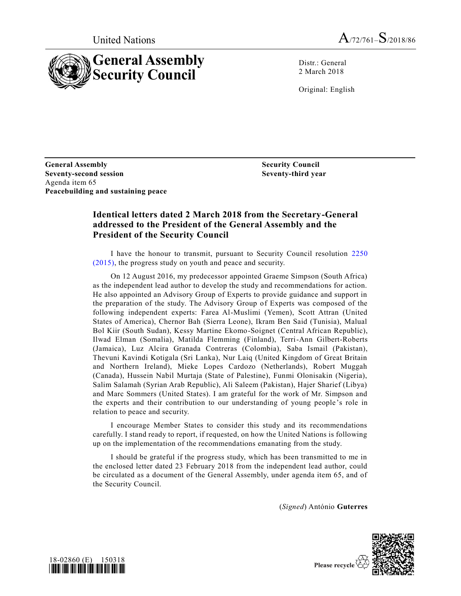



Distr.: General 2 March 2018

Original: English

**General Assembly Seventy-second session** Agenda item 65 **Peacebuilding and sustaining peace**

**Security Council Seventy-third year**

# **Identical letters dated 2 March 2018 from the Secretary-General addressed to the President of the General Assembly and the President of the Security Council**

I have the honour to transmit, pursuant to Security Council resolution [2250](https://undocs.org/S/RES/2250(2015))  [\(2015\),](https://undocs.org/S/RES/2250(2015)) the progress study on youth and peace and security.

On 12 August 2016, my predecessor appointed Graeme Simpson (South Africa) as the independent lead author to develop the study and recommendations for action. He also appointed an Advisory Group of Experts to provide guidance and support in the preparation of the study. The Advisory Group of Experts was composed of the following independent experts: Farea Al-Muslimi (Yemen), Scott Attran (United States of America), Chernor Bah (Sierra Leone), Ikram Ben Said (Tunisia), Malual Bol Kiir (South Sudan), Kessy Martine Ekomo-Soignet (Central African Republic), Ilwad Elman (Somalia), Matilda Flemming (Finland), Terri-Ann Gilbert-Roberts (Jamaica), Luz Alcira Granada Contreras (Colombia), Saba Ismail (Pakistan), Thevuni Kavindi Kotigala (Sri Lanka), Nur Laiq (United Kingdom of Great Britain and Northern Ireland), Mieke Lopes Cardozo (Netherlands), Robert Muggah (Canada), Hussein Nabil Murtaja (State of Palestine), Funmi Olonisakin (Nigeria), Salim Salamah (Syrian Arab Republic), Ali Saleem (Pakistan), Hajer Sharief (Libya) and Marc Sommers (United States). I am grateful for the work of Mr. Simpson and the experts and their contribution to our understanding of young people 's role in relation to peace and security.

I encourage Member States to consider this study and its recommendations carefully. I stand ready to report, if requested, on how the United Nations is following up on the implementation of the recommendations emanating from the study.

I should be grateful if the progress study, which has been transmitted to me in the enclosed letter dated 23 February 2018 from the independent lead author, could be circulated as a document of the General Assembly, under agenda item 65, and of the Security Council.

(*Signed*) António **Guterres**





Please recycle  $\Diamond$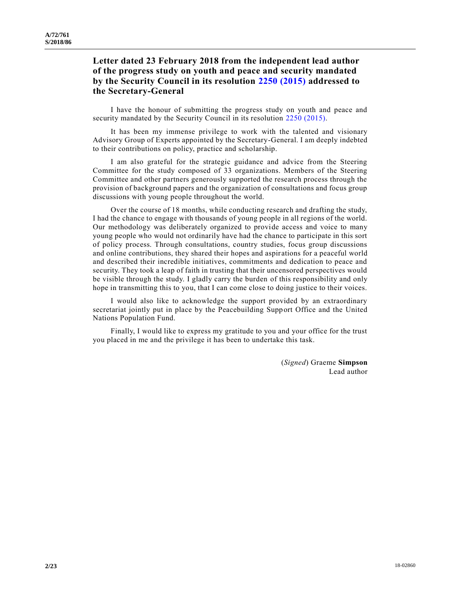# **Letter dated 23 February 2018 from the independent lead author of the progress study on youth and peace and security mandated by the Security Council in its resolution [2250 \(2015\)](https://undocs.org/S/RES/2250(2015)) addressed to the Secretary-General**

I have the honour of submitting the progress study on youth and peace and security mandated by the Security Council in its resolution [2250 \(2015\).](https://undocs.org/S/RES/2250(2015))

It has been my immense privilege to work with the talented and visionary Advisory Group of Experts appointed by the Secretary-General. I am deeply indebted to their contributions on policy, practice and scholarship.

I am also grateful for the strategic guidance and advice from the Steering Committee for the study composed of 33 organizations. Members of the Steering Committee and other partners generously supported the research process through the provision of background papers and the organization of consultations and focus group discussions with young people throughout the world.

Over the course of 18 months, while conducting research and drafting the study, I had the chance to engage with thousands of young people in all regions of the world. Our methodology was deliberately organized to provide access and voice to many young people who would not ordinarily have had the chance to participate in this sort of policy process. Through consultations, country studies, focus group discussions and online contributions, they shared their hopes and aspirations for a peaceful world and described their incredible initiatives, commitments and dedication to peace and security. They took a leap of faith in trusting that their uncensored perspectives would be visible through the study. I gladly carry the burden of this responsibility and only hope in transmitting this to you, that I can come close to doing justice to their voices.

I would also like to acknowledge the support provided by an extraordinary secretariat jointly put in place by the Peacebuilding Support Office and the United Nations Population Fund.

Finally, I would like to express my gratitude to you and your office for the trust you placed in me and the privilege it has been to undertake this task.

> (*Signed*) Graeme **Simpson** Lead author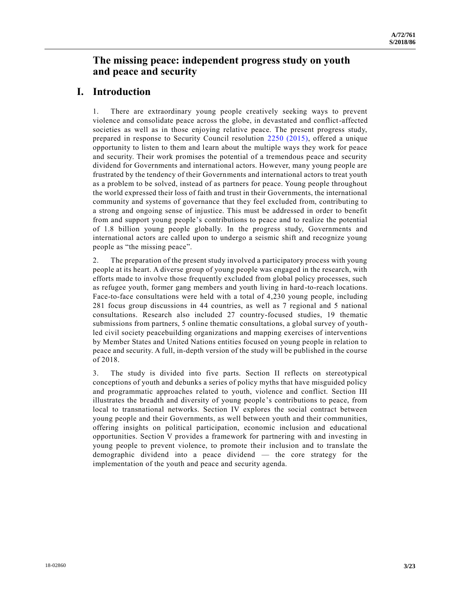# **The missing peace: independent progress study on youth and peace and security**

# **I. Introduction**

1. There are extraordinary young people creatively seeking ways to prevent violence and consolidate peace across the globe, in devastated and conflict-affected societies as well as in those enjoying relative peace. The present progress study, prepared in response to Security Council resolution [2250 \(2015\),](https://undocs.org/S/RES/2250(2015)) offered a unique opportunity to listen to them and learn about the multiple ways they work for peace and security. Their work promises the potential of a tremendous peace and security dividend for Governments and international actors. However, many young people are frustrated by the tendency of their Governments and international actors to treat youth as a problem to be solved, instead of as partners for peace. Young people throughout the world expressed their loss of faith and trust in their Governments, the international community and systems of governance that they feel excluded from, contributing to a strong and ongoing sense of injustice. This must be addressed in order to benefit from and support young people's contributions to peace and to realize the potential of 1.8 billion young people globally. In the progress study, Governments and international actors are called upon to undergo a seismic shift and recognize young people as "the missing peace".

2. The preparation of the present study involved a participatory process with young people at its heart. A diverse group of young people was engaged in the research, with efforts made to involve those frequently excluded from global policy processes, such as refugee youth, former gang members and youth living in hard-to-reach locations. Face-to-face consultations were held with a total of 4,230 young people, including 281 focus group discussions in 44 countries, as well as 7 regional and 5 national consultations. Research also included 27 country-focused studies, 19 thematic submissions from partners, 5 online thematic consultations, a global survey of youthled civil society peacebuilding organizations and mapping exercises of interventions by Member States and United Nations entities focused on young people in relation to peace and security. A full, in-depth version of the study will be published in the course of 2018.

3. The study is divided into five parts. Section II reflects on stereotypical conceptions of youth and debunks a series of policy myths that have misguided policy and programmatic approaches related to youth, violence and conflict. Section III illustrates the breadth and diversity of young people's contributions to peace, from local to transnational networks. Section IV explores the social contract between young people and their Governments, as well between youth and their communities, offering insights on political participation, economic inclusion and educational opportunities. Section V provides a framework for partnering with and investing in young people to prevent violence, to promote their inclusion and to translate the demographic dividend into a peace dividend — the core strategy for the implementation of the youth and peace and security agenda.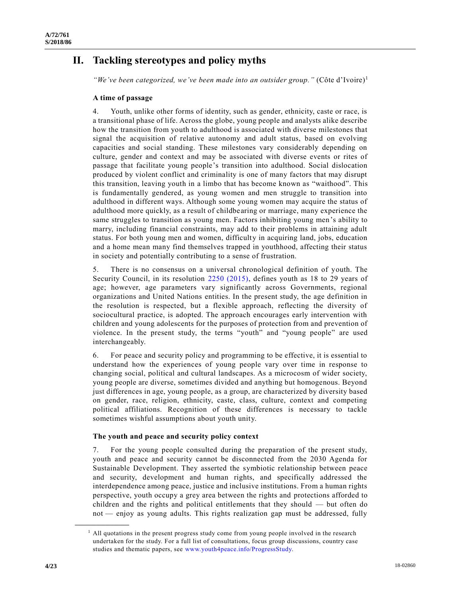# **II. Tackling stereotypes and policy myths**

*"We've been categorized, we've been made into an outsider group."* (Côte d'Ivoire)<sup>1</sup>

### **A time of passage**

4. Youth, unlike other forms of identity, such as gender, ethnicity, caste or race, is a transitional phase of life. Across the globe, young people and analysts alike describe how the transition from youth to adulthood is associated with diverse milestones that signal the acquisition of relative autonomy and adult status, based on evolving capacities and social standing. These milestones vary considerably depending on culture, gender and context and may be associated with diverse events or rites of passage that facilitate young people's transition into adulthood. Social dislocation produced by violent conflict and criminality is one of many factors that may disrupt this transition, leaving youth in a limbo that has become known as "waithood". This is fundamentally gendered, as young women and men struggle to transition into adulthood in different ways. Although some young women may acquire the status of adulthood more quickly, as a result of childbearing or marriage, many experience the same struggles to transition as young men. Factors inhibiting young men's ability to marry, including financial constraints, may add to their problems in attaining adult status. For both young men and women, difficulty in acquiring land, jobs, education and a home mean many find themselves trapped in youthhood, affecting their status in society and potentially contributing to a sense of frustration.

5. There is no consensus on a universal chronological definition of youth. The Security Council, in its resolution [2250 \(2015\),](https://undocs.org/S/RES/2250(2015)) defines youth as 18 to 29 years of age; however, age parameters vary significantly across Governments, regional organizations and United Nations entities. In the present study, the age definition in the resolution is respected, but a flexible approach, reflecting the diversity of sociocultural practice, is adopted. The approach encourages early intervention with children and young adolescents for the purposes of protection from and prevention of violence. In the present study, the terms "youth" and "young people" are used interchangeably.

6. For peace and security policy and programming to be effective, it is essential to understand how the experiences of young people vary over time in response to changing social, political and cultural landscapes. As a microcosm of wider society, young people are diverse, sometimes divided and anything but homogenous. Beyond just differences in age, young people, as a group, are characterized by diversity based on gender, race, religion, ethnicity, caste, class, culture, context and competing political affiliations. Recognition of these differences is necessary to tackle sometimes wishful assumptions about youth unity.

#### **The youth and peace and security policy context**

7. For the young people consulted during the preparation of the present study, youth and peace and security cannot be disconnected from the 2030 Agenda for Sustainable Development. They asserted the symbiotic relationship between peace and security, development and human rights, and specifically addressed the interdependence among peace, justice and inclusive institutions. From a human rights perspective, youth occupy a grey area between the rights and protections afforded to children and the rights and political entitlements that they should — but often do not — enjoy as young adults. This rights realization gap must be addressed, fully

**\_\_\_\_\_\_\_\_\_\_\_\_\_\_\_\_\_\_**

 $<sup>1</sup>$  All quotations in the present progress study come from young people involved in the research</sup> undertaken for the study. For a full list of consultations, focus group discussions, country case studies and thematic papers, see [www.youth4peace.info/ProgressStudy.](https://www.youth4peace.info/ProgressStudy)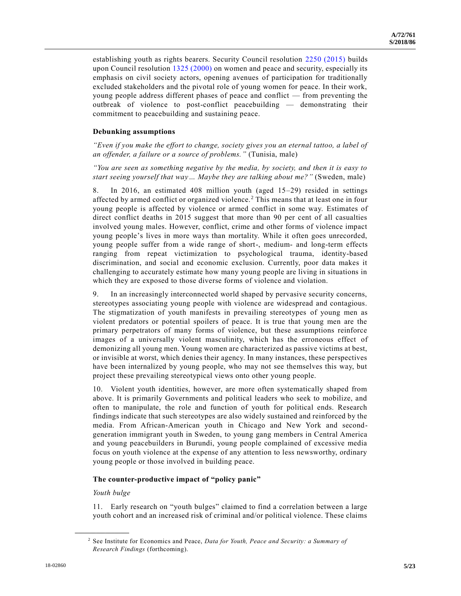establishing youth as rights bearers. Security Council resolution [2250 \(2015\)](https://undocs.org/S/RES/2250(2015)) builds upon Council resolution [1325 \(2000\)](https://undocs.org/S/RES/1325(2000)) on women and peace and security, especially its emphasis on civil society actors, opening avenues of participation for traditionally excluded stakeholders and the pivotal role of young women for peace. In their work, young people address different phases of peace and conflict — from preventing the outbreak of violence to post-conflict peacebuilding — demonstrating their commitment to peacebuilding and sustaining peace.

### **Debunking assumptions**

*"Even if you make the effort to change, society gives you an eternal tattoo, a label of an offender, a failure or a source of problems."* (Tunisia, male)

*"You are seen as something negative by the media, by society, and then it is easy to start seeing yourself that way… Maybe they are talking about me?"* (Sweden, male)

8. In 2016, an estimated 408 million youth (aged 15–29) resided in settings affected by armed conflict or organized violence.<sup>2</sup> This means that at least one in four young people is affected by violence or armed conflict in some way. Estimates of direct conflict deaths in 2015 suggest that more than 90 per cent of all casualties involved young males. However, conflict, crime and other forms of violence impact young people's lives in more ways than mortality. While it often goes unrecorded, young people suffer from a wide range of short-, medium- and long-term effects ranging from repeat victimization to psychological trauma, identity-based discrimination, and social and economic exclusion. Currently, poor data makes it challenging to accurately estimate how many young people are living in situations in which they are exposed to those diverse forms of violence and violation.

9. In an increasingly interconnected world shaped by pervasive security concerns, stereotypes associating young people with violence are widespread and contagious. The stigmatization of youth manifests in prevailing stereotypes of young men as violent predators or potential spoilers of peace. It is true that young men are the primary perpetrators of many forms of violence, but these assumptions reinforce images of a universally violent masculinity, which has the erroneous effect of demonizing all young men. Young women are characterized as passive victims at best, or invisible at worst, which denies their agency. In many instances, these perspectives have been internalized by young people, who may not see themselves this way, but project these prevailing stereotypical views onto other young people.

10. Violent youth identities, however, are more often systematically shaped from above. It is primarily Governments and political leaders who seek to mobilize, and often to manipulate, the role and function of youth for political ends. Research findings indicate that such stereotypes are also widely sustained and reinforced by the media. From African-American youth in Chicago and New York and secondgeneration immigrant youth in Sweden, to young gang members in Central America and young peacebuilders in Burundi, young people complained of excessive media focus on youth violence at the expense of any attention to less newsworthy, ordinary young people or those involved in building peace.

#### **The counter-productive impact of "policy panic"**

#### *Youth bulge*

**\_\_\_\_\_\_\_\_\_\_\_\_\_\_\_\_\_\_**

11. Early research on "youth bulges" claimed to find a correlation between a large youth cohort and an increased risk of criminal and/or political violence. These claims

<sup>2</sup> See Institute for Economics and Peace, *Data for Youth, Peace and Security: a Summary of Research Findings* (forthcoming).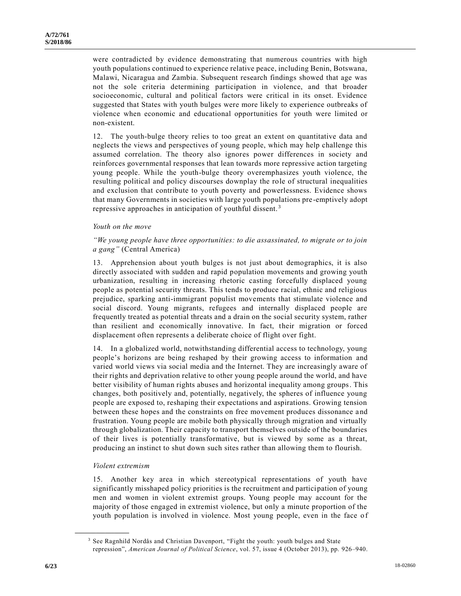were contradicted by evidence demonstrating that numerous countries with high youth populations continued to experience relative peace, including Benin, Botswana, Malawi, Nicaragua and Zambia. Subsequent research findings showed that age was not the sole criteria determining participation in violence, and that broader socioeconomic, cultural and political factors were critical in its onset. Evidence suggested that States with youth bulges were more likely to experience outbreaks of violence when economic and educational opportunities for youth were limited or non-existent.

12. The youth-bulge theory relies to too great an extent on quantitative data and neglects the views and perspectives of young people, which may help challenge this assumed correlation. The theory also ignores power differences in society and reinforces governmental responses that lean towards more repressive action targeting young people. While the youth-bulge theory overemphasizes youth violence, the resulting political and policy discourses downplay the role of structural inequalities and exclusion that contribute to youth poverty and powerlessness. Evidence shows that many Governments in societies with large youth populations pre-emptively adopt repressive approaches in anticipation of youthful dissent. <sup>3</sup>

#### *Youth on the move*

## *"We young people have three opportunities: to die assassinated, to migrate or to join a gang"* (Central America)

13. Apprehension about youth bulges is not just about demographics, it is also directly associated with sudden and rapid population movements and growing youth urbanization, resulting in increasing rhetoric casting forcefully displaced young people as potential security threats. This tends to produce racial, ethnic and religious prejudice, sparking anti-immigrant populist movements that stimulate violence and social discord. Young migrants, refugees and internally displaced people are frequently treated as potential threats and a drain on the social security system, rather than resilient and economically innovative. In fact, their migration or forced displacement often represents a deliberate choice of flight over fight.

14. In a globalized world, notwithstanding differential access to technology, young people's horizons are being reshaped by their growing access to information and varied world views via social media and the Internet. They are increasingly aware of their rights and deprivation relative to other young people around the world, and have better visibility of human rights abuses and horizontal inequality among groups. This changes, both positively and, potentially, negatively, the spheres of influence young people are exposed to, reshaping their expectations and aspirations. Growing tension between these hopes and the constraints on free movement produces dissonance a nd frustration. Young people are mobile both physically through migration and virtually through globalization. Their capacity to transport themselves outside of the boundaries of their lives is potentially transformative, but is viewed by some as a threat, producing an instinct to shut down such sites rather than allowing them to flourish.

### *Violent extremism*

**\_\_\_\_\_\_\_\_\_\_\_\_\_\_\_\_\_\_**

15. Another key area in which stereotypical representations of youth have significantly misshaped policy priorities is the recruitment and participation of young men and women in violent extremist groups. Young people may account for the majority of those engaged in extremist violence, but only a minute proportion of the youth population is involved in violence. Most young people, even in the face of

<sup>&</sup>lt;sup>3</sup> See Ragnhild Nordås and Christian Davenport, "Fight the youth: youth bulges and State repression", *American Journal of Political Science*, vol. 57, issue 4 (October 2013), pp. 926–940.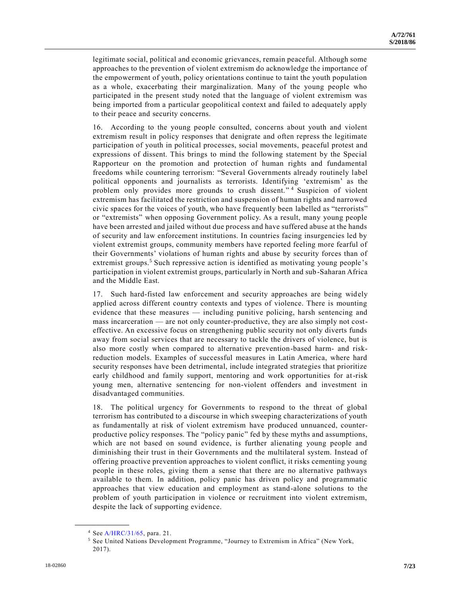legitimate social, political and economic grievances, remain peaceful. Although some approaches to the prevention of violent extremism do acknowledge the importance of the empowerment of youth, policy orientations continue to taint the youth population as a whole, exacerbating their marginalization. Many of the young people who participated in the present study noted that the language of violent extremism was being imported from a particular geopolitical context and failed to adequately apply to their peace and security concerns.

16. According to the young people consulted, concerns about youth and violent extremism result in policy responses that denigrate and often repress the legitimate participation of youth in political processes, social movements, peaceful protest and expressions of dissent. This brings to mind the following statement by the Special Rapporteur on the promotion and protection of human rights and fundamental freedoms while countering terrorism: "Several Governments already routinely label political opponents and journalists as terrorists. Identifying 'extremism' as the problem only provides more grounds to crush dissent."<sup>4</sup> Suspicion of violent extremism has facilitated the restriction and suspension of human rights and narrowed civic spaces for the voices of youth, who have frequently been labelled as "terrorists" or "extremists" when opposing Government policy. As a result, many young people have been arrested and jailed without due process and have suffered abuse at the hands of security and law enforcement institutions. In countries facing insurgencies led by violent extremist groups, community members have reported feeling more fearful of their Governments' violations of human rights and abuse by security forces than of extremist groups.<sup>5</sup> Such repressive action is identified as motivating young people's participation in violent extremist groups, particularly in North and sub-Saharan Africa and the Middle East.

17. Such hard-fisted law enforcement and security approaches are being widely applied across different country contexts and types of violence. There is mounting evidence that these measures — including punitive policing, harsh sentencing and mass incarceration — are not only counter-productive, they are also simply not costeffective. An excessive focus on strengthening public security not only diverts funds away from social services that are necessary to tackle the drivers of violence, but is also more costly when compared to alternative prevention-based harm- and riskreduction models. Examples of successful measures in Latin America, where hard security responses have been detrimental, include integrated strategies that prioritize early childhood and family support, mentoring and work opportunities for at-risk young men, alternative sentencing for non-violent offenders and investment in disadvantaged communities.

18. The political urgency for Governments to respond to the threat of global terrorism has contributed to a discourse in which sweeping characterizations of youth as fundamentally at risk of violent extremism have produced unnuanced, counterproductive policy responses. The "policy panic" fed by these myths and assumptions, which are not based on sound evidence, is further alienating young people and diminishing their trust in their Governments and the multilateral system. Instead of offering proactive prevention approaches to violent conflict, it risks cementing young people in these roles, giving them a sense that there are no alternative pathways available to them. In addition, policy panic has driven policy and programmatic approaches that view education and employment as stand-alone solutions to the problem of youth participation in violence or recruitment into violent extremism, despite the lack of supporting evidence.

**\_\_\_\_\_\_\_\_\_\_\_\_\_\_\_\_\_\_**

<sup>4</sup> Se[e A/HRC/31/65,](https://undocs.org/A/HRC/31/65) para. 21.

<sup>5</sup> See United Nations Development Programme, "Journey to Extremism in Africa" (New York, 2017).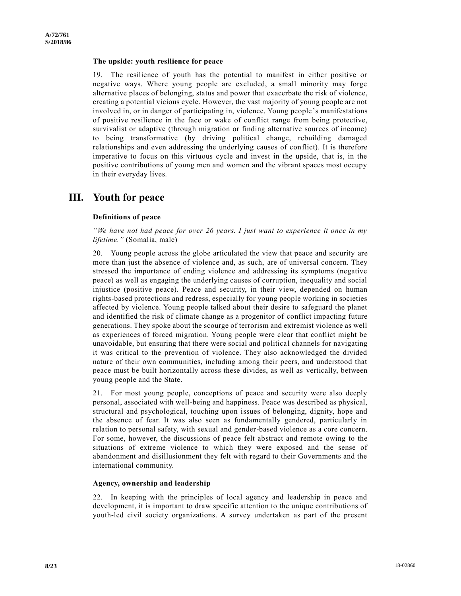#### **The upside: youth resilience for peace**

19. The resilience of youth has the potential to manifest in either positive or negative ways. Where young people are excluded, a small minority may forge alternative places of belonging, status and power that exacerbate the risk of violence, creating a potential vicious cycle. However, the vast majority of young people are not involved in, or in danger of participating in, violence. Young people 's manifestations of positive resilience in the face or wake of conflict range from being protective, survivalist or adaptive (through migration or finding alternative sources of income) to being transformative (by driving political change, rebuilding damaged relationships and even addressing the underlying causes of conflict). It is therefore imperative to focus on this virtuous cycle and invest in the upside, that is, in the positive contributions of young men and women and the vibrant spaces most occupy in their everyday lives.

# **III. Youth for peace**

#### **Definitions of peace**

*"We have not had peace for over 26 years. I just want to experience it once in my lifetime."* (Somalia, male)

20. Young people across the globe articulated the view that peace and security are more than just the absence of violence and, as such, are of universal concern. They stressed the importance of ending violence and addressing its symptoms (negative peace) as well as engaging the underlying causes of corruption, inequality and social injustice (positive peace). Peace and security, in their view, depended on human rights-based protections and redress, especially for young people working in societies affected by violence. Young people talked about their desire to safeguard the planet and identified the risk of climate change as a progenitor of conflict impacting future generations. They spoke about the scourge of terrorism and extremist violence as well as experiences of forced migration. Young people were clear that conflict might be unavoidable, but ensuring that there were social and political channels for navigating it was critical to the prevention of violence. They also acknowledged the divided nature of their own communities, including among their peers, and understood that peace must be built horizontally across these divides, as well as vertically, between young people and the State.

21. For most young people, conceptions of peace and security were also deeply personal, associated with well-being and happiness. Peace was described as physical, structural and psychological, touching upon issues of belonging, dignity, hope and the absence of fear. It was also seen as fundamentally gendered, particularly in relation to personal safety, with sexual and gender-based violence as a core concern. For some, however, the discussions of peace felt abstract and remote owing to the situations of extreme violence to which they were exposed and the sense of abandonment and disillusionment they felt with regard to their Governments and the international community.

#### **Agency, ownership and leadership**

22. In keeping with the principles of local agency and leadership in peace and development, it is important to draw specific attention to the unique contributions of youth-led civil society organizations. A survey undertaken as part of the present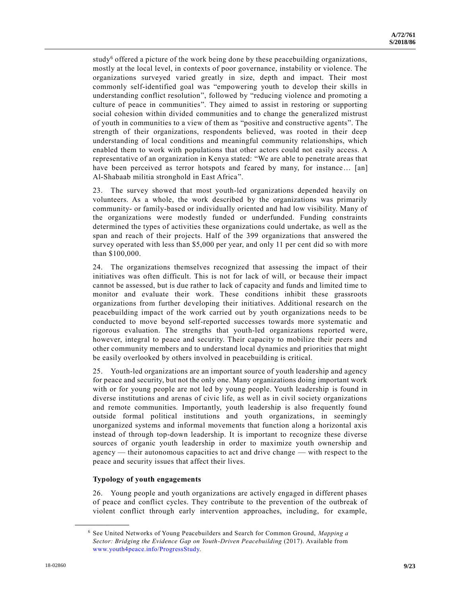study $6$  offered a picture of the work being done by these peacebuilding organizations, mostly at the local level, in contexts of poor governance, instability or violence. The organizations surveyed varied greatly in size, depth and impact. Their most commonly self-identified goal was "empowering youth to develop their skills in understanding conflict resolution", followed by "reducing violence and promoting a culture of peace in communities". They aimed to assist in restoring or supporting social cohesion within divided communities and to change the generalized mistrust of youth in communities to a view of them as "positive and constructive agents". The strength of their organizations, respondents believed, was rooted in their deep understanding of local conditions and meaningful community relationships, which enabled them to work with populations that other actors could not easily access. A representative of an organization in Kenya stated: "We are able to penetrate areas that have been perceived as terror hotspots and feared by many, for instance... [an] Al-Shabaab militia stronghold in East Africa".

23. The survey showed that most youth-led organizations depended heavily on volunteers. As a whole, the work described by the organizations was primarily community- or family-based or individually oriented and had low visibility. Many of the organizations were modestly funded or underfunded. Funding constraints determined the types of activities these organizations could undertake, as well as the span and reach of their projects. Half of the 399 organizations that answered the survey operated with less than \$5,000 per year, and only 11 per cent did so with more than \$100,000.

24. The organizations themselves recognized that assessing the impact of their initiatives was often difficult. This is not for lack of will, or because their impact cannot be assessed, but is due rather to lack of capacity and funds and limited time to monitor and evaluate their work. These conditions inhibit these grassroots organizations from further developing their initiatives. Additional research on the peacebuilding impact of the work carried out by youth organizations needs to be conducted to move beyond self-reported successes towards more systematic and rigorous evaluation. The strengths that youth-led organizations reported were, however, integral to peace and security. Their capacity to mobilize their peers and other community members and to understand local dynamics and priorities that might be easily overlooked by others involved in peacebuilding is critical.

25. Youth-led organizations are an important source of youth leadership and agency for peace and security, but not the only one. Many organizations doing important work with or for young people are not led by young people. Youth leadership is found in diverse institutions and arenas of civic life, as well as in civil society organizations and remote communities. Importantly, youth leadership is also frequently found outside formal political institutions and youth organizations, in seemingly unorganized systems and informal movements that function along a horizontal axis instead of through top-down leadership. It is important to recognize these diverse sources of organic youth leadership in order to maximize youth ownership and agency — their autonomous capacities to act and drive change — with respect to the peace and security issues that affect their lives.

#### **Typology of youth engagements**

**\_\_\_\_\_\_\_\_\_\_\_\_\_\_\_\_\_\_**

26. Young people and youth organizations are actively engaged in different phases of peace and conflict cycles. They contribute to the prevention of the outbreak of violent conflict through early intervention approaches, including, for example,

<sup>6</sup> See United Networks of Young Peacebuilders and Search for Common Ground, *Mapping a Sector: Bridging the Evidence Gap on Youth-Driven Peacebuilding* (2017). Available from [www.youth4peace.info/ProgressStudy.](http://www.youth4peace.info/ProgressStudy)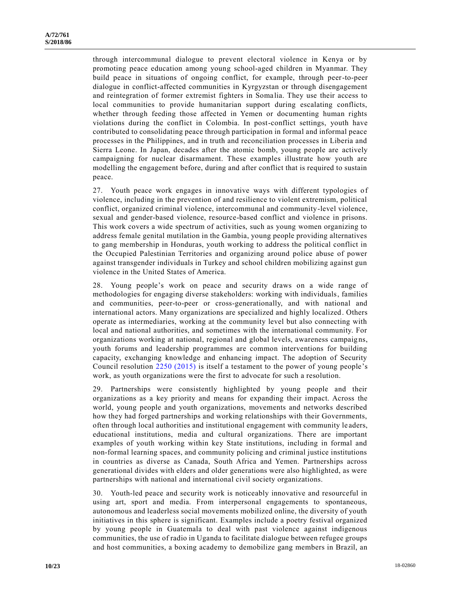through intercommunal dialogue to prevent electoral violence in Kenya or by promoting peace education among young school-aged children in Myanmar. They build peace in situations of ongoing conflict, for example, through peer-to-peer dialogue in conflict-affected communities in Kyrgyzstan or through disengagement and reintegration of former extremist fighters in Soma lia. They use their access to local communities to provide humanitarian support during escalating conflicts, whether through feeding those affected in Yemen or documenting human rights violations during the conflict in Colombia. In post-conflict settings, youth have contributed to consolidating peace through participation in formal and informal peace processes in the Philippines, and in truth and reconciliation processes in Liberia and Sierra Leone. In Japan, decades after the atomic bomb, young people are actively campaigning for nuclear disarmament. These examples illustrate how youth are modelling the engagement before, during and after conflict that is required to sustain peace.

27. Youth peace work engages in innovative ways with different typologies of violence, including in the prevention of and resilience to violent extremism, political conflict, organized criminal violence, intercommunal and community-level violence, sexual and gender-based violence, resource-based conflict and violence in prisons. This work covers a wide spectrum of activities, such as young women organizing to address female genital mutilation in the Gambia, young people providing alternatives to gang membership in Honduras, youth working to address the political conflict in the Occupied Palestinian Territories and organizing around police abuse of power against transgender individuals in Turkey and school children mobilizing against gun violence in the United States of America.

28. Young people's work on peace and security draws on a wide range of methodologies for engaging diverse stakeholders: working with individuals, families and communities, peer-to-peer or cross-generationally, and with national and international actors. Many organizations are specialized and highly localized. Others operate as intermediaries, working at the community level but also connecting with local and national authorities, and sometimes with the international community. For organizations working at national, regional and global levels, awareness campaig ns, youth forums and leadership programmes are common interventions for building capacity, exchanging knowledge and enhancing impact. The adoption of Security Council resolution [2250 \(2015\)](https://undocs.org/S/RES/2250(2015)) is itself a testament to the power of young people's work, as youth organizations were the first to advocate for such a resolution.

29. Partnerships were consistently highlighted by young people and their organizations as a key priority and means for expanding their impact. Across the world, young people and youth organizations, movements and networks described how they had forged partnerships and working relationships with their Governments, often through local authorities and institutional engagement with community le aders, educational institutions, media and cultural organizations. There are important examples of youth working within key State institutions, including in formal and non-formal learning spaces, and community policing and criminal justice institutions in countries as diverse as Canada, South Africa and Yemen. Partnerships across generational divides with elders and older generations were also highlighted, as were partnerships with national and international civil society organizations.

30. Youth-led peace and security work is noticeably innovative and resourceful in using art, sport and media. From interpersonal engagements to spontaneous, autonomous and leaderless social movements mobilized online, the diversity of youth initiatives in this sphere is significant. Examples include a poetry festival organized by young people in Guatemala to deal with past violence against indigenous communities, the use of radio in Uganda to facilitate dialogue between refugee groups and host communities, a boxing academy to demobilize gang members in Brazil, an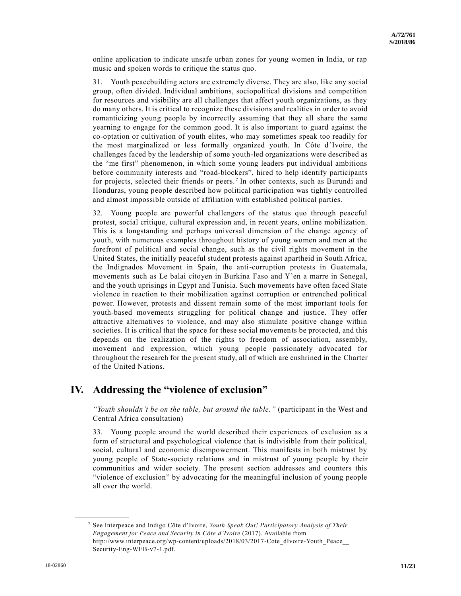online application to indicate unsafe urban zones for young women in India, or rap music and spoken words to critique the status quo.

31. Youth peacebuilding actors are extremely diverse. They are also, like any soci al group, often divided. Individual ambitions, sociopolitical divisions and competition for resources and visibility are all challenges that affect youth organizations, as they do many others. It is critical to recognize these divisions and realities in order to avoid romanticizing young people by incorrectly assuming that they all share the same yearning to engage for the common good. It is also important to guard against the co-optation or cultivation of youth elites, who may sometimes speak too readily for the most marginalized or less formally organized youth. In Côte d'Ivoire, the challenges faced by the leadership of some youth-led organizations were described as the "me first" phenomenon, in which some young leaders put individual ambitions before community interests and "road-blockers", hired to help identify participants for projects, selected their friends or peers.<sup>7</sup> In other contexts, such as Burundi and Honduras, young people described how political participation was tightly controlled and almost impossible outside of affiliation with established political parties.

32. Young people are powerful challengers of the status quo through peaceful protest, social critique, cultural expression and, in recent years, online mobilization. This is a longstanding and perhaps universal dimension of the change agency of youth, with numerous examples throughout history of young women and men at the forefront of political and social change, such as the civil rights movement in the United States, the initially peaceful student protests against apartheid in South Africa, the Indignados Movement in Spain, the anti-corruption protests in Guatemala, movements such as Le balai citoyen in Burkina Faso and Y'en a marre in Senegal, and the youth uprisings in Egypt and Tunisia. Such movements have often faced State violence in reaction to their mobilization against corruption or entrenched political power. However, protests and dissent remain some of the most important tools for youth-based movements struggling for political change and justice. They offer attractive alternatives to violence, and may also stimulate positive change within societies. It is critical that the space for these social movements be protected, and this depends on the realization of the rights to freedom of association, assembly, movement and expression, which young people passionately advocated for throughout the research for the present study, all of which are enshrined in the Charter of the United Nations.

# **IV. Addressing the "violence of exclusion"**

*"Youth shouldn't be on the table, but around the table."* (participant in the West and Central Africa consultation)

33. Young people around the world described their experiences of exclusion as a form of structural and psychological violence that is indivisible from their political, social, cultural and economic disempowerment. This manifests in both mistrust by young people of State-society relations and in mistrust of young people by their communities and wider society. The present section addresses and counters this "violence of exclusion" by advocating for the meaningful inclusion of young people all over the world.

<sup>7</sup> See Interpeace and Indigo Côte d'Ivoire, *Youth Speak Out! Participatory Analysis of Their Engagement for Peace and Security in Côte d'Ivoire* (2017). Available from http://www.interpeace.org/wp-content/uploads/2018/03/2017-Cote\_dIvoire-Youth\_Peace\_\_ Security-Eng-WEB-v7-1.pdf.

**\_\_\_\_\_\_\_\_\_\_\_\_\_\_\_\_\_\_**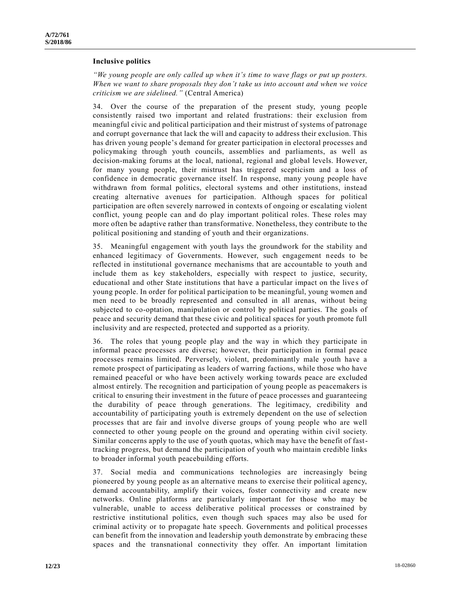#### **Inclusive politics**

*"We young people are only called up when it's time to wave flags or put up posters. When we want to share proposals they don't take us into account and when we voice criticism we are sidelined."* (Central America)

34. Over the course of the preparation of the present study, young people consistently raised two important and related frustrations: their exclusion from meaningful civic and political participation and their mistrust of systems of patronage and corrupt governance that lack the will and capacity to address their exclusion. This has driven young people's demand for greater participation in electoral processes and policymaking through youth councils, assemblies and parliaments, as well as decision-making forums at the local, national, regional and global levels. However, for many young people, their mistrust has triggered scepticism and a loss of confidence in democratic governance itself. In response, many young people have withdrawn from formal politics, electoral systems and other institutions, instead creating alternative avenues for participation. Although spaces for political participation are often severely narrowed in contexts of ongoing or escalating violent conflict, young people can and do play important political roles. These roles may more often be adaptive rather than transformative. Nonetheless, they contribute to the political positioning and standing of youth and their organizations.

35. Meaningful engagement with youth lays the groundwork for the stability and enhanced legitimacy of Governments. However, such engagement needs to be reflected in institutional governance mechanisms that are accountable to youth and include them as key stakeholders, especially with respect to justice, security, educational and other State institutions that have a particular impact on the live s of young people. In order for political participation to be meaningful, young women and men need to be broadly represented and consulted in all arenas, without being subjected to co-optation, manipulation or control by political parties. The goals of peace and security demand that these civic and political spaces for youth promote full inclusivity and are respected, protected and supported as a priority.

36. The roles that young people play and the way in which they participate in informal peace processes are diverse; however, their participation in formal peace processes remains limited. Perversely, violent, predominantly male youth have a remote prospect of participating as leaders of warring factions, while those who have remained peaceful or who have been actively working towards peace are excluded almost entirely. The recognition and participation of young people as peacemakers is critical to ensuring their investment in the future of peace processes and guaranteeing the durability of peace through generations. The legitimacy, credibility and accountability of participating youth is extremely dependent on the use of selection processes that are fair and involve diverse groups of young people who are well connected to other young people on the ground and operating within civil society. Similar concerns apply to the use of youth quotas, which may have the benefit of fasttracking progress, but demand the participation of youth who maintain credible links to broader informal youth peacebuilding efforts.

37. Social media and communications technologies are increasingly being pioneered by young people as an alternative means to exercise their political agency, demand accountability, amplify their voices, foster connectivity and create new networks. Online platforms are particularly important for those who may be vulnerable, unable to access deliberative political processes or constrained by restrictive institutional politics, even though such spaces may also be used for criminal activity or to propagate hate speech. Governments and political processes can benefit from the innovation and leadership youth demonstrate by embracing these spaces and the transnational connectivity they offer. An important limitation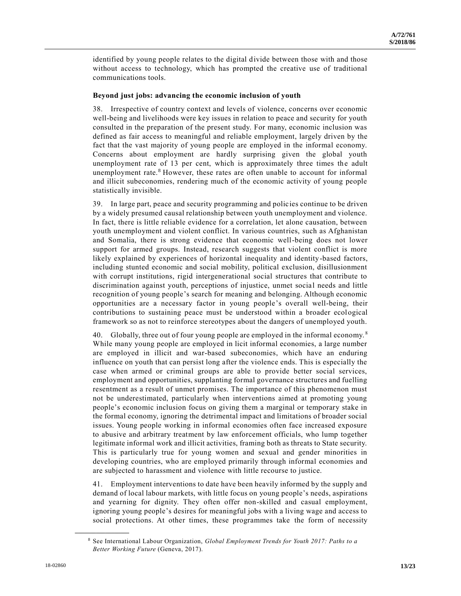identified by young people relates to the digital divide between those with and those without access to technology, which has prompted the creative use of traditional communications tools.

#### **Beyond just jobs: advancing the economic inclusion of youth**

38. Irrespective of country context and levels of violence, concerns over economic well-being and livelihoods were key issues in relation to peace and security for youth consulted in the preparation of the present study. For many, economic inclusion was defined as fair access to meaningful and reliable employment, largely driven by the fact that the vast majority of young people are employed in the informal economy. Concerns about employment are hardly surprising given the global youth unemployment rate of 13 per cent, which is approximately three times the adult unemployment rate.<sup>8</sup> However, these rates are often unable to account for informal and illicit subeconomies, rendering much of the economic activity of young people statistically invisible.

39. In large part, peace and security programming and policies continue to be driven by a widely presumed causal relationship between youth unemployment and violence. In fact, there is little reliable evidence for a correlation, let alone causation, between youth unemployment and violent conflict. In various countries, such as Afghanistan and Somalia, there is strong evidence that economic well-being does not lower support for armed groups. Instead, research suggests that violent conflict is more likely explained by experiences of horizontal inequality and identity-based factors, including stunted economic and social mobility, political exclusion, disillusionment with corrupt institutions, rigid intergenerational social structures that contribute to discrimination against youth, perceptions of injustice, unmet social needs and little recognition of young people's search for meaning and belonging. Although economic opportunities are a necessary factor in young people's overall well-being, their contributions to sustaining peace must be understood within a broader ecological framework so as not to reinforce stereotypes about the dangers of unemployed youth.

40. Globally, three out of four young people are employed in the informal economy. <sup>8</sup> While many young people are employed in licit informal economies, a large number are employed in illicit and war-based subeconomies, which have an enduring influence on youth that can persist long after the violence ends. This is especially the case when armed or criminal groups are able to provide better social services, employment and opportunities, supplanting formal governance structures and fuelling resentment as a result of unmet promises. The importance of this phenomenon must not be underestimated, particularly when interventions aimed at promoting young people's economic inclusion focus on giving them a marginal or temporary stake in the formal economy, ignoring the detrimental impact and limitations of broader social issues. Young people working in informal economies often face increased exposure to abusive and arbitrary treatment by law enforcement officials, who lump together legitimate informal work and illicit activities, framing both as threats to State security. This is particularly true for young women and sexual and gender minorities in developing countries, who are employed primarily through informal economies and are subjected to harassment and violence with little recourse to justice.

41. Employment interventions to date have been heavily informed by the supply and demand of local labour markets, with little focus on young people's needs, aspirations and yearning for dignity. They often offer non-skilled and casual employment, ignoring young people's desires for meaningful jobs with a living wage and access to social protections. At other times, these programmes take the form of necessity

**\_\_\_\_\_\_\_\_\_\_\_\_\_\_\_\_\_\_**

<sup>8</sup> See International Labour Organization, *Global Employment Trends for Youth 2017: Paths to a Better Working Future* (Geneva, 2017).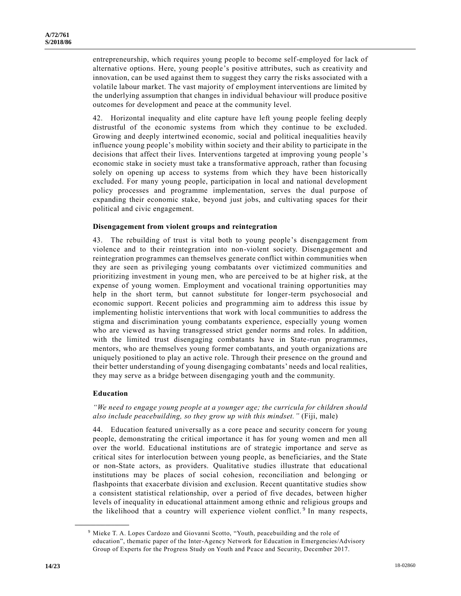entrepreneurship, which requires young people to become self-employed for lack of alternative options. Here, young people's positive attributes, such as creativity and innovation, can be used against them to suggest they carry the risks associated with a volatile labour market. The vast majority of employment interventions are limited by the underlying assumption that changes in individual behaviour will produce positive outcomes for development and peace at the community level.

42. Horizontal inequality and elite capture have left young people feeling deeply distrustful of the economic systems from which they continue to be excluded. Growing and deeply intertwined economic, social and political inequalities heavily influence young people's mobility within society and their ability to participate in the decisions that affect their lives. Interventions targeted at improving young people 's economic stake in society must take a transformative approach, rather than focusing solely on opening up access to systems from which they have been historically excluded. For many young people, participation in local and national development policy processes and programme implementation, serves the dual purpose of expanding their economic stake, beyond just jobs, and cultivating spaces for their political and civic engagement.

#### **Disengagement from violent groups and reintegration**

43. The rebuilding of trust is vital both to young people's disengagement from violence and to their reintegration into non-violent society. Disengagement and reintegration programmes can themselves generate conflict within communities when they are seen as privileging young combatants over victimized communities and prioritizing investment in young men, who are perceived to be at higher risk, at the expense of young women. Employment and vocational training opportunities may help in the short term, but cannot substitute for longer-term psychosocial and economic support. Recent policies and programming aim to address this issue by implementing holistic interventions that work with local communities to address the stigma and discrimination young combatants experience, especially young women who are viewed as having transgressed strict gender norms and roles. In addition, with the limited trust disengaging combatants have in State-run programmes, mentors, who are themselves young former combatants, and youth organizations are uniquely positioned to play an active role. Through their presence on the ground and their better understanding of young disengaging combatants' needs and local realities, they may serve as a bridge between disengaging youth and the community.

#### **Education**

**\_\_\_\_\_\_\_\_\_\_\_\_\_\_\_\_\_\_**

*"We need to engage young people at a younger age; the curricula for children should also include peacebuilding, so they grow up with this mindset."* (Fiji, male)

44. Education featured universally as a core peace and security concern for young people, demonstrating the critical importance it has for young women and men all over the world. Educational institutions are of strategic importance and serve as critical sites for interlocution between young people, as beneficiaries, and the State or non-State actors, as providers. Qualitative studies illustrate that educational institutions may be places of social cohesion, reconciliation and belonging or flashpoints that exacerbate division and exclusion. Recent quantitative studies show a consistent statistical relationship, over a period of five decades, between higher levels of inequality in educational attainment among ethnic and religious groups and the likelihood that a country will experience violent conflict.<sup>9</sup> In many respects,

<sup>&</sup>lt;sup>9</sup> Mieke T. A. Lopes Cardozo and Giovanni Scotto, "Youth, peacebuilding and the role of education", thematic paper of the Inter-Agency Network for Education in Emergencies/Advisory Group of Experts for the Progress Study on Youth and Peace and Security, December 2017.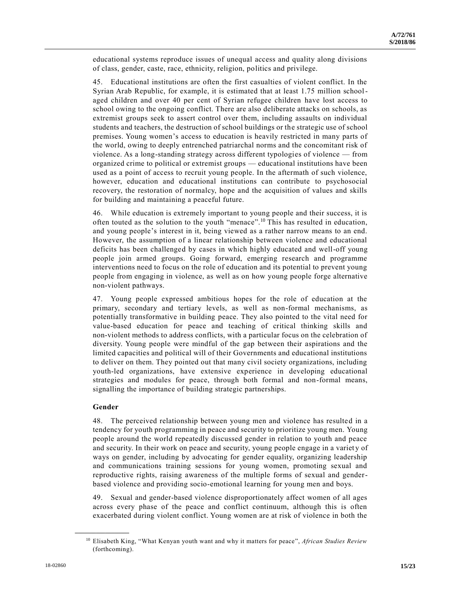educational systems reproduce issues of unequal access and quality along divisions of class, gender, caste, race, ethnicity, religion, politics and privilege.

45. Educational institutions are often the first casualties of violent conflict. In the Syrian Arab Republic, for example, it is estimated that at least 1.75 million schoolaged children and over 40 per cent of Syrian refugee children have lost access to school owing to the ongoing conflict. There are also deliberate attacks on schools, as extremist groups seek to assert control over them, including assaults on individual students and teachers, the destruction of school buildings or the strategic use of school premises. Young women's access to education is heavily restricted in many parts of the world, owing to deeply entrenched patriarchal norms and the concomitant risk of violence. As a long-standing strategy across different typologies of violence — from organized crime to political or extremist groups — educational institutions have been used as a point of access to recruit young people. In the aftermath of such violence, however, education and educational institutions can contribute to psychosocial recovery, the restoration of normalcy, hope and the acquisition of values and skills for building and maintaining a peaceful future.

46. While education is extremely important to young people and their success, it is often touted as the solution to the youth "menace".<sup>10</sup> This has resulted in education, and young people's interest in it, being viewed as a rather narrow means to an end. However, the assumption of a linear relationship between violence and educational deficits has been challenged by cases in which highly educated and well-off young people join armed groups. Going forward, emerging research and programme interventions need to focus on the role of education and its potential to prevent young people from engaging in violence, as well as on how young people forge alternative non-violent pathways.

47. Young people expressed ambitious hopes for the role of education at the primary, secondary and tertiary levels, as well as non-formal mechanisms, as potentially transformative in building peace. They also pointed to the vital need for value-based education for peace and teaching of critical thinking skills and non-violent methods to address conflicts, with a particular focus on the celebration of diversity. Young people were mindful of the gap between their aspirations and the limited capacities and political will of their Governments and educational institutions to deliver on them. They pointed out that many civil society organizations, including youth-led organizations, have extensive experience in developing educational strategies and modules for peace, through both formal and non-formal means, signalling the importance of building strategic partnerships.

#### **Gender**

**\_\_\_\_\_\_\_\_\_\_\_\_\_\_\_\_\_\_**

48. The perceived relationship between young men and violence has resulted in a tendency for youth programming in peace and security to prioritize young men. Young people around the world repeatedly discussed gender in relation to youth and peace and security. In their work on peace and security, young people engage in a variet y of ways on gender, including by advocating for gender equality, organizing leadership and communications training sessions for young women, promoting sexual and reproductive rights, raising awareness of the multiple forms of sexual and genderbased violence and providing socio-emotional learning for young men and boys.

49. Sexual and gender-based violence disproportionately affect women of all ages across every phase of the peace and conflict continuum, although this is often exacerbated during violent conflict. Young women are at risk of violence in both the

<sup>10</sup> Elisabeth King, "What Kenyan youth want and why it matters for peace", *African Studies Review* (forthcoming).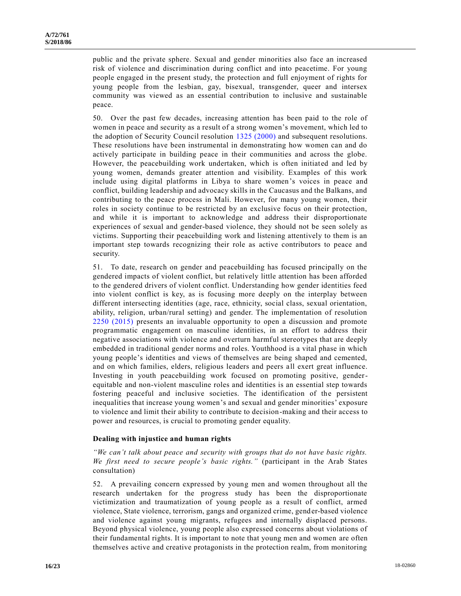public and the private sphere. Sexual and gender minorities also face an increased risk of violence and discrimination during conflict and into peacetime. For young people engaged in the present study, the protection and full enjoyment of rights for young people from the lesbian, gay, bisexual, transgender, queer and intersex community was viewed as an essential contribution to inclusive and sustainable peace.

50. Over the past few decades, increasing attention has been paid to the role of women in peace and security as a result of a strong women's movement, which led to the adoption of Security Council resolution [1325 \(2000\)](https://undocs.org/S/RES/1325(2000)) and subsequent resolutions. These resolutions have been instrumental in demonstrating how women can and do actively participate in building peace in their communities and across the globe. However, the peacebuilding work undertaken, which is often initiated and led by young women, demands greater attention and visibility. Examples of this work include using digital platforms in Libya to share women's voices in peace and conflict, building leadership and advocacy skills in the Caucasus and the Balkans, and contributing to the peace process in Mali. However, for many young women, their roles in society continue to be restricted by an exclusive focus on their protection, and while it is important to acknowledge and address their disproportionate experiences of sexual and gender-based violence, they should not be seen solely as victims. Supporting their peacebuilding work and listening attentively to them is an important step towards recognizing their role as active contributors to peace and security.

51. To date, research on gender and peacebuilding has focused principally on the gendered impacts of violent conflict, but relatively little attention has been afforded to the gendered drivers of violent conflict. Understanding how gender identities feed into violent conflict is key, as is focusing more deeply on the interplay between different intersecting identities (age, race, ethnicity, social class, sexual orientation, ability, religion, urban/rural setting) and gender. The implementation of resolution [2250 \(2015\)](https://undocs.org/S/RES/2250(2015)) presents an invaluable opportunity to open a discussion and promote programmatic engagement on masculine identities, in an effort to address their negative associations with violence and overturn harmful stereotypes that are deeply embedded in traditional gender norms and roles. Youthhood is a vital phase in which young people's identities and views of themselves are being shaped and cemented, and on which families, elders, religious leaders and peers all exert great influence. Investing in youth peacebuilding work focused on promoting positive, genderequitable and non-violent masculine roles and identities is an essential step towards fostering peaceful and inclusive societies. The identification of the persistent inequalities that increase young women's and sexual and gender minorities' exposure to violence and limit their ability to contribute to decision-making and their access to power and resources, is crucial to promoting gender equality.

## **Dealing with injustice and human rights**

*"We can't talk about peace and security with groups that do not have basic rights. We first need to secure people's basic rights."* (participant in the Arab States consultation)

52. A prevailing concern expressed by young men and women throughout all the research undertaken for the progress study has been the disproportionate victimization and traumatization of young people as a result of conflict, armed violence, State violence, terrorism, gangs and organized crime, gender-based violence and violence against young migrants, refugees and internally displaced persons. Beyond physical violence, young people also expressed concerns about violations of their fundamental rights. It is important to note that young men and women are often themselves active and creative protagonists in the protection realm, from monitoring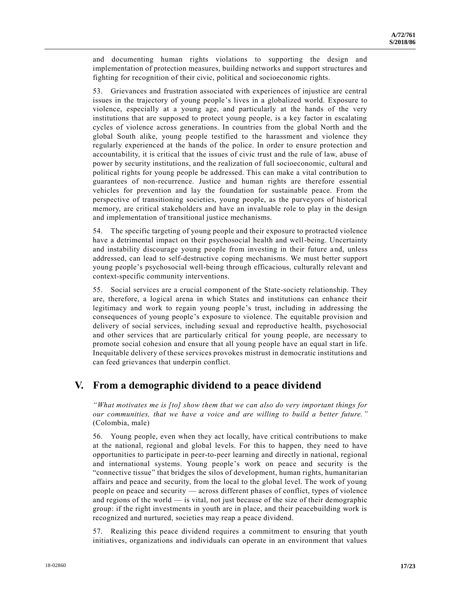and documenting human rights violations to supporting the design and implementation of protection measures, building networks and support structures and fighting for recognition of their civic, political and socioeconomic rights.

53. Grievances and frustration associated with experiences of injustice are central issues in the trajectory of young people's lives in a globalized world. Exposure to violence, especially at a young age, and particularly at the hands of the very institutions that are supposed to protect young people, is a key factor in escalating cycles of violence across generations. In countries from the global North and the global South alike, young people testified to the harassment and violence they regularly experienced at the hands of the police. In order to ensure protection and accountability, it is critical that the issues of civic trust and the rule of law, abuse of power by security institutions, and the realization of full socioeconomic, cultural and political rights for young people be addressed. This can make a vital contribution to guarantees of non-recurrence. Justice and human rights are therefore essential vehicles for prevention and lay the foundation for sustainable peace. From the perspective of transitioning societies, young people, as the purveyors of historical memory, are critical stakeholders and have an invaluable role to play in the design and implementation of transitional justice mechanisms.

54. The specific targeting of young people and their exposure to protracted violence have a detrimental impact on their psychosocial health and well-being. Uncertainty and instability discourage young people from investing in their future and, unless addressed, can lead to self-destructive coping mechanisms. We must better support young people's psychosocial well-being through efficacious, culturally relevant and context-specific community interventions.

55. Social services are a crucial component of the State-society relationship. They are, therefore, a logical arena in which States and institutions can enhance their legitimacy and work to regain young people's trust, including in addressing the consequences of young people's exposure to violence. The equitable provision and delivery of social services, including sexual and reproductive health, psychosocial and other services that are particularly critical for young people, are necessary to promote social cohesion and ensure that all young people have an equal start in life. Inequitable delivery of these services provokes mistrust in democratic institutions and can feed grievances that underpin conflict.

# **V. From a demographic dividend to a peace dividend**

*"What motivates me is [to] show them that we can also do very important things for our communities, that we have a voice and are willing to build a better future."* (Colombia, male)

56. Young people, even when they act locally, have critical contributions to make at the national, regional and global levels. For this to happen, they need to have opportunities to participate in peer-to-peer learning and directly in national, regional and international systems. Young people's work on peace and security is the "connective tissue" that bridges the silos of development, human rights, humanitarian affairs and peace and security, from the local to the global level. The work of young people on peace and security — across different phases of conflict, types of violence and regions of the world — is vital, not just because of the size of their demographic group: if the right investments in youth are in place, and their peacebuilding work is recognized and nurtured, societies may reap a peace dividend.

57. Realizing this peace dividend requires a commitment to ensuring that youth initiatives, organizations and individuals can operate in an environment that values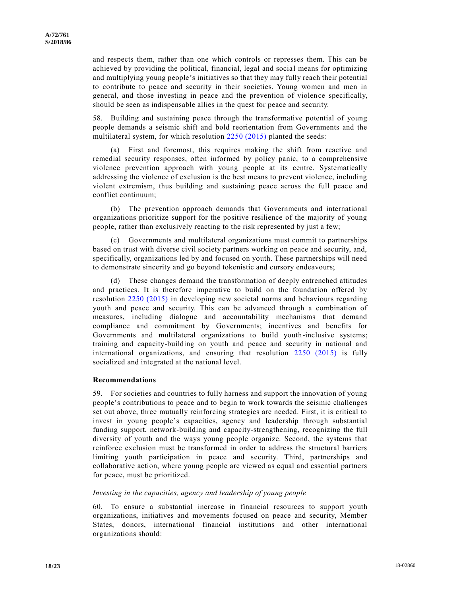and respects them, rather than one which controls or represses them. This can be achieved by providing the political, financial, legal and social means for optimizing and multiplying young people's initiatives so that they may fully reach their potential to contribute to peace and security in their societies. Young women and men in general, and those investing in peace and the prevention of violence specifically, should be seen as indispensable allies in the quest for peace and security.

58. Building and sustaining peace through the transformative potential of young people demands a seismic shift and bold reorientation from Governments and the multilateral system, for which resolution [2250 \(2015\)](https://undocs.org/S/RES/2250(2015)) planted the seeds:

(a) First and foremost, this requires making the shift from reactive and remedial security responses, often informed by policy panic, to a comprehensive violence prevention approach with young people at its centre. Systematically addressing the violence of exclusion is the best means to prevent violence, including violent extremism, thus building and sustaining peace across the full peace and conflict continuum;

(b) The prevention approach demands that Governments and international organizations prioritize support for the positive resilience of the majority of young people, rather than exclusively reacting to the risk represented by just a few;

(c) Governments and multilateral organizations must commit to partnerships based on trust with diverse civil society partners working on peace and security, and, specifically, organizations led by and focused on youth. These partnerships will need to demonstrate sincerity and go beyond tokenistic and cursory endeavours;

(d) These changes demand the transformation of deeply entrenched attitudes and practices. It is therefore imperative to build on the foundation offered by resolution [2250 \(2015\)](https://undocs.org/S/RES/2250(2015)) in developing new societal norms and behaviours regarding youth and peace and security. This can be advanced through a combination of measures, including dialogue and accountability mechanisms that demand compliance and commitment by Governments; incentives and benefits for Governments and multilateral organizations to build youth-inclusive systems; training and capacity-building on youth and peace and security in national and international organizations, and ensuring that resolution [2250 \(2015\)](https://undocs.org/S/RES/2250(2015)) is fully socialized and integrated at the national level.

### **Recommendations**

59. For societies and countries to fully harness and support the innovation of young people's contributions to peace and to begin to work towards the seismic challenges set out above, three mutually reinforcing strategies are needed. First, it is critical to invest in young people's capacities, agency and leadership through substantial funding support, network-building and capacity-strengthening, recognizing the full diversity of youth and the ways young people organize. Second, the systems that reinforce exclusion must be transformed in order to address the structural barriers limiting youth participation in peace and security. Third, partnerships and collaborative action, where young people are viewed as equal and essential partners for peace, must be prioritized.

#### *Investing in the capacities, agency and leadership of young people*

60. To ensure a substantial increase in financial resources to support youth organizations, initiatives and movements focused on peace and security, Member States, donors, international financial institutions and other international organizations should: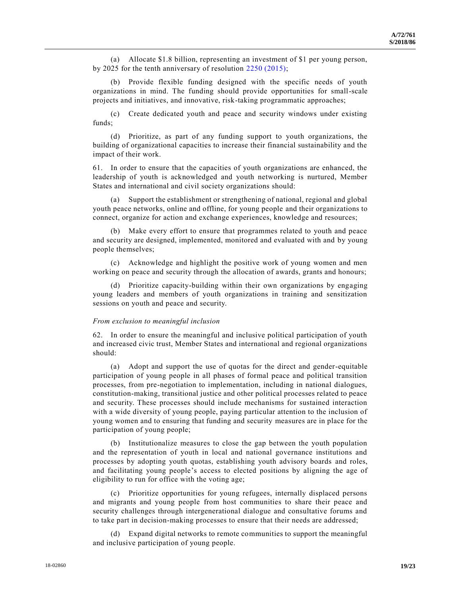(a) Allocate \$1.8 billion, representing an investment of \$1 per young person, by 2025 for the tenth anniversary of resolution [2250 \(2015\);](https://undocs.org/S/RES/2250(2015))

(b) Provide flexible funding designed with the specific needs of youth organizations in mind. The funding should provide opportunities for small-scale projects and initiatives, and innovative, risk-taking programmatic approaches;

(c) Create dedicated youth and peace and security windows under existing funds;

(d) Prioritize, as part of any funding support to youth organizations, the building of organizational capacities to increase their financial sustainability and the impact of their work.

61. In order to ensure that the capacities of youth organizations are enhanced, the leadership of youth is acknowledged and youth networking is nurtured, Member States and international and civil society organizations should:

(a) Support the establishment or strengthening of national, regional and global youth peace networks, online and offline, for young people and their organizations to connect, organize for action and exchange experiences, knowledge and resources;

(b) Make every effort to ensure that programmes related to youth and peace and security are designed, implemented, monitored and evaluated with and by young people themselves;

(c) Acknowledge and highlight the positive work of young women and men working on peace and security through the allocation of awards, grants and honours;

(d) Prioritize capacity-building within their own organizations by engaging young leaders and members of youth organizations in training and sensitization sessions on youth and peace and security.

#### *From exclusion to meaningful inclusion*

62. In order to ensure the meaningful and inclusive political participation of youth and increased civic trust, Member States and international and regional organizations should:

(a) Adopt and support the use of quotas for the direct and gender-equitable participation of young people in all phases of formal peace and political transition processes, from pre-negotiation to implementation, including in national dialogues, constitution-making, transitional justice and other political processes related to peace and security. These processes should include mechanisms for sustained interaction with a wide diversity of young people, paying particular attention to the inclusion of young women and to ensuring that funding and security measures are in place for the participation of young people;

(b) Institutionalize measures to close the gap between the youth population and the representation of youth in local and national governance institutions and processes by adopting youth quotas, establishing youth advisory boards and roles, and facilitating young people's access to elected positions by aligning the age of eligibility to run for office with the voting age;

(c) Prioritize opportunities for young refugees, internally displaced persons and migrants and young people from host communities to share their peace and security challenges through intergenerational dialogue and consultative forums and to take part in decision-making processes to ensure that their needs are addressed;

(d) Expand digital networks to remote communities to support the meaningful and inclusive participation of young people.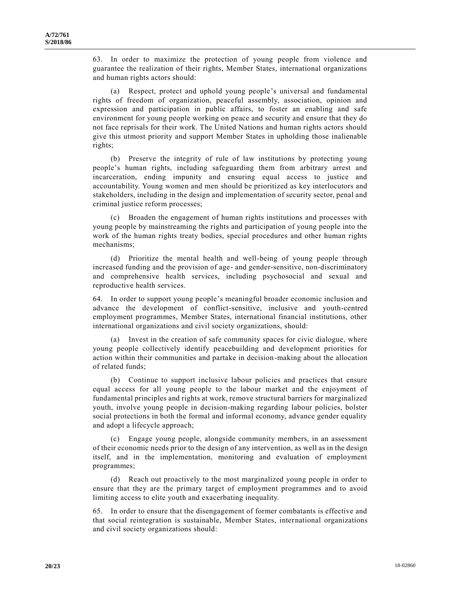63. In order to maximize the protection of young people from violence and guarantee the realization of their rights, Member States, international organizations and human rights actors should:

(a) Respect, protect and uphold young people's universal and fundamental rights of freedom of organization, peaceful assembly, association, opinion and expression and participation in public affairs, to foster an enabling and safe environment for young people working on peace and security and ensure that they do not face reprisals for their work. The United Nations and human rights actors should give this utmost priority and support Member States in upholding those inalienable rights;

(b) Preserve the integrity of rule of law institutions by protecting young people's human rights, including safeguarding them from arbitrary arrest and incarceration, ending impunity and ensuring equal access to justice and accountability. Young women and men should be prioritized as key interlocutors and stakeholders, including in the design and implementation of security sector, penal and criminal justice reform processes;

(c) Broaden the engagement of human rights institutions and processes with young people by mainstreaming the rights and participation of young people into the work of the human rights treaty bodies, special procedures and other human rights mechanisms;

(d) Prioritize the mental health and well-being of young people through increased funding and the provision of age- and gender-sensitive, non-discriminatory and comprehensive health services, including psychosocial and sexual and reproductive health services.

64. In order to support young people's meaningful broader economic inclusion and advance the development of conflict-sensitive, inclusive and youth-centred employment programmes, Member States, international financial institutions, other international organizations and civil society organizations, should:

(a) Invest in the creation of safe community spaces for civic dialogue, where young people collectively identify peacebuilding and development priorities for action within their communities and partake in decision-making about the allocation of related funds;

(b) Continue to support inclusive labour policies and practices that ensure equal access for all young people to the labour market and the enjoyment of fundamental principles and rights at work, remove structural barriers for marginalized youth, involve young people in decision-making regarding labour policies, bolster social protections in both the formal and informal economy, advance gender equality and adopt a lifecycle approach;

(c) Engage young people, alongside community members, in an assessment of their economic needs prior to the design of any intervention, as well as in the design itself, and in the implementation, monitoring and evaluation of employment programmes;

(d) Reach out proactively to the most marginalized young people in order to ensure that they are the primary target of employment programmes and to avoid limiting access to elite youth and exacerbating inequality.

65. In order to ensure that the disengagement of former combatants is effective and that social reintegration is sustainable, Member States, international organizations and civil society organizations should: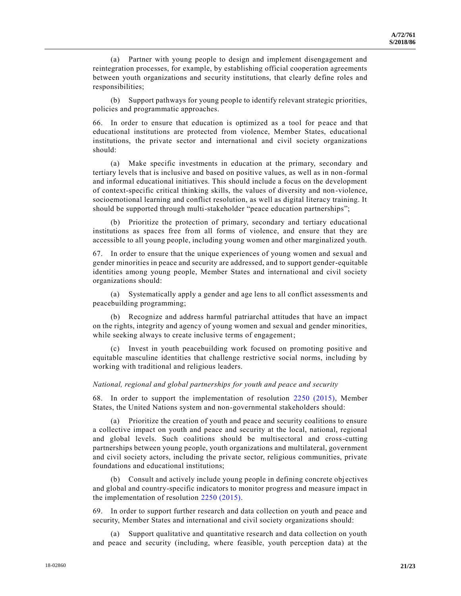(a) Partner with young people to design and implement disengagement and reintegration processes, for example, by establishing official cooperation agreements between youth organizations and security institutions, that clearly define roles and responsibilities;

(b) Support pathways for young people to identify relevant strategic priorities, policies and programmatic approaches.

66. In order to ensure that education is optimized as a tool for peace and that educational institutions are protected from violence, Member States, educational institutions, the private sector and international and civil society organizations should:

(a) Make specific investments in education at the primary, secondary and tertiary levels that is inclusive and based on positive values, as well as in non-formal and informal educational initiatives. This should include a focus on the development of context-specific critical thinking skills, the values of diversity and non-violence, socioemotional learning and conflict resolution, as well as digital literacy training. It should be supported through multi-stakeholder "peace education partnerships";

(b) Prioritize the protection of primary, secondary and tertiary educational institutions as spaces free from all forms of violence, and ensure that they are accessible to all young people, including young women and other marginalized youth.

67. In order to ensure that the unique experiences of young women and sexual and gender minorities in peace and security are addressed, and to support gender-equitable identities among young people, Member States and international and civil society organizations should:

(a) Systematically apply a gender and age lens to all conflict assessments and peacebuilding programming;

(b) Recognize and address harmful patriarchal attitudes that have an impact on the rights, integrity and agency of young women and sexual and gender minorities, while seeking always to create inclusive terms of engagement;

(c) Invest in youth peacebuilding work focused on promoting positive and equitable masculine identities that challenge restrictive social norms, including by working with traditional and religious leaders.

#### *National, regional and global partnerships for youth and peace and security*

68. In order to support the implementation of resolution [2250 \(2015\),](https://undocs.org/S/RES/2250(2015)) Member States, the United Nations system and non-governmental stakeholders should:

(a) Prioritize the creation of youth and peace and security coalitions to ensure a collective impact on youth and peace and security at the local, national, regional and global levels. Such coalitions should be multisectoral and cross-cutting partnerships between young people, youth organizations and multilateral, government and civil society actors, including the private sector, religious communities, private foundations and educational institutions;

(b) Consult and actively include young people in defining concrete obj ectives and global and country-specific indicators to monitor progress and measure impact in the implementation of resolution [2250 \(2015\).](https://undocs.org/S/RES/2250(2015))

69. In order to support further research and data collection on youth and peace and security, Member States and international and civil society organizations should:

(a) Support qualitative and quantitative research and data collection on youth and peace and security (including, where feasible, youth perception data) at the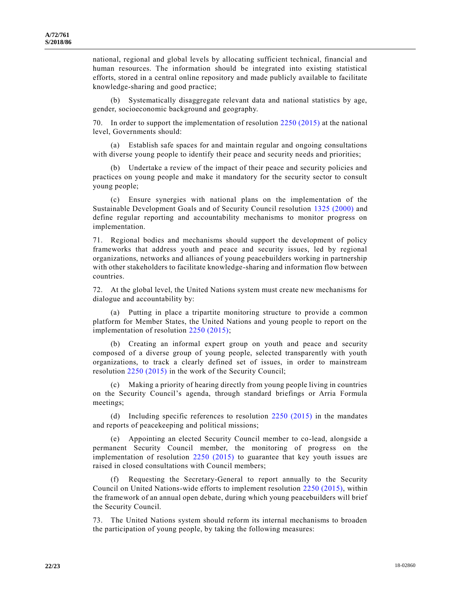national, regional and global levels by allocating sufficient technical, financial and human resources. The information should be integrated into existing statistical efforts, stored in a central online repository and made publicly available to facilitate knowledge-sharing and good practice;

(b) Systematically disaggregate relevant data and national statistics by age, gender, socioeconomic background and geography.

70. In order to support the implementation of resolution [2250 \(2015\)](https://undocs.org/S/RES/2250(2015)) at the national level, Governments should:

(a) Establish safe spaces for and maintain regular and ongoing consultations with diverse young people to identify their peace and security needs and priorities;

(b) Undertake a review of the impact of their peace and security policies and practices on young people and make it mandatory for the security sector to consult young people;

(c) Ensure synergies with national plans on the implementation of the Sustainable Development Goals and of Security Council resolution [1325 \(2000\)](https://undocs.org/S/RES/1325(2000)) and define regular reporting and accountability mechanisms to monitor progress on implementation.

71. Regional bodies and mechanisms should support the development of policy frameworks that address youth and peace and security issues, led by regional organizations, networks and alliances of young peacebuilders working in partnership with other stakeholders to facilitate knowledge-sharing and information flow between countries.

72. At the global level, the United Nations system must create new mechanisms for dialogue and accountability by:

(a) Putting in place a tripartite monitoring structure to provide a common platform for Member States, the United Nations and young people to report on the implementation of resolution [2250 \(2015\);](https://undocs.org/S/RES/2250(2015))

(b) Creating an informal expert group on youth and peace and security composed of a diverse group of young people, selected transparently with youth organizations, to track a clearly defined set of issues, in order to mainstream resolution [2250 \(2015\)](https://undocs.org/S/RES/2250(2015)) in the work of the Security Council;

(c) Making a priority of hearing directly from young people living in countries on the Security Council's agenda, through standard briefings or Arria Formula meetings;

(d) Including specific references to resolution [2250 \(2015\)](https://undocs.org/S/RES/2250(2015)) in the mandates and reports of peacekeeping and political missions;

(e) Appointing an elected Security Council member to co-lead, alongside a permanent Security Council member, the monitoring of progress on the implementation of resolution [2250 \(2015\)](https://undocs.org/S/RES/2250(2015)) to guarantee that key youth issues are raised in closed consultations with Council members;

(f) Requesting the Secretary-General to report annually to the Security Council on United Nations-wide efforts to implement resolution [2250 \(2015\),](https://undocs.org/S/RES/2250(2015)) within the framework of an annual open debate, during which young peacebuilders will brief the Security Council.

73. The United Nations system should reform its internal mechanisms to broaden the participation of young people, by taking the following measures: